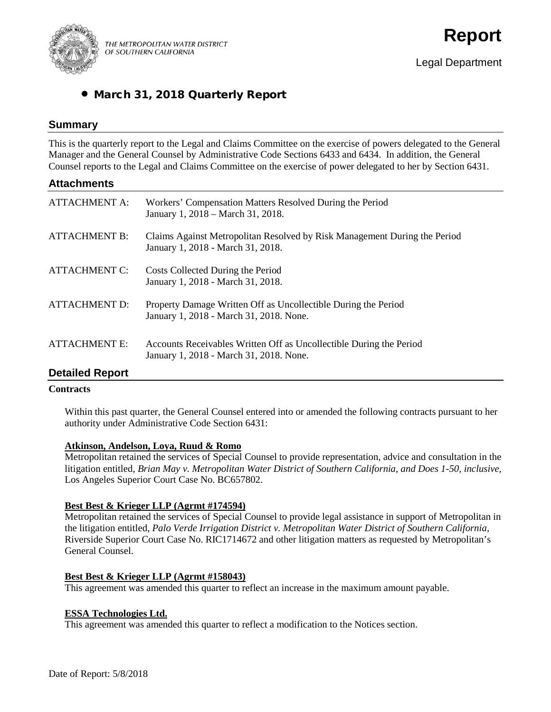

THE METROPOLITAN WATER DISTRICT OF SOUTHERN CALIFORNIA

# • March 31, 2018 Quarterly Report

# **Summary**

This is the quarterly report to the Legal and Claims Committee on the exercise of powers delegated to the General Manager and the General Counsel by Administrative Code Sections 6433 and 6434. In addition, the General Counsel reports to the Legal and Claims Committee on the exercise of power delegated to her by Section 6431.

# **Attachments**

| <b>ATTACHMENT A:</b> | Workers' Compensation Matters Resolved During the Period<br>January 1, 2018 – March 31, 2018.                  |
|----------------------|----------------------------------------------------------------------------------------------------------------|
| <b>ATTACHMENT B:</b> | Claims Against Metropolitan Resolved by Risk Management During the Period<br>January 1, 2018 - March 31, 2018. |
| <b>ATTACHMENT C:</b> | Costs Collected During the Period<br>January 1, 2018 - March 31, 2018.                                         |
| <b>ATTACHMENT D:</b> | Property Damage Written Off as Uncollectible During the Period<br>January 1, 2018 - March 31, 2018. None.      |
| <b>ATTACHMENT E:</b> | Accounts Receivables Written Off as Uncollectible During the Period<br>January 1, 2018 - March 31, 2018. None. |

# **Detailed Report**

### **Contracts**

Within this past quarter, the General Counsel entered into or amended the following contracts pursuant to her authority under Administrative Code Section 6431:

# **Atkinson, Andelson, Loya, Ruud & Romo**

Metropolitan retained the services of Special Counsel to provide representation, advice and consultation in the litigation entitled, *Brian May v. Metropolitan Water District of Southern California, and Does 1-50, inclusive,*  Los Angeles Superior Court Case No. BC657802.

### **Best Best & Krieger LLP (Agrmt #174594)**

Metropolitan retained the services of Special Counsel to provide legal assistance in support of Metropolitan in the litigation entitled, *Palo Verde Irrigation District v. Metropolitan Water District of Southern California,*  Riverside Superior Court Case No. RIC1714672 and other litigation matters as requested by Metropolitan's General Counsel.

### **Best Best & Krieger LLP (Agrmt #158043)**

This agreement was amended this quarter to reflect an increase in the maximum amount payable.

### **ESSA Technologies Ltd.**

This agreement was amended this quarter to reflect a modification to the Notices section.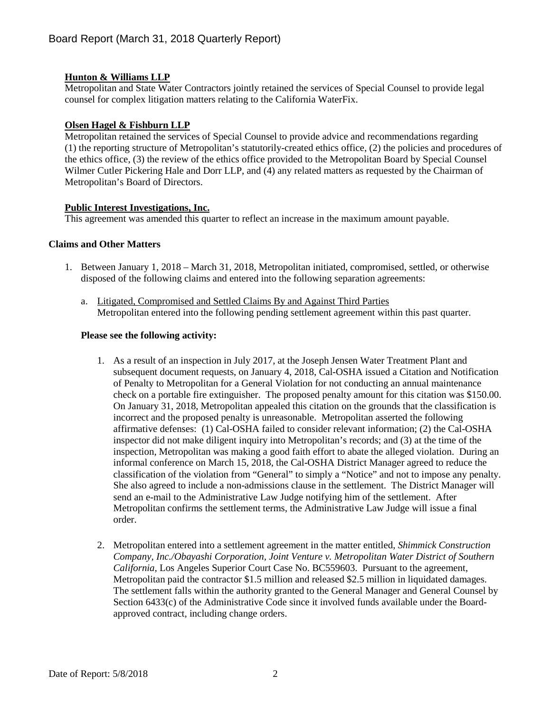# **Hunton & Williams LLP**

Metropolitan and State Water Contractors jointly retained the services of Special Counsel to provide legal counsel for complex litigation matters relating to the California WaterFix.

### **Olsen Hagel & Fishburn LLP**

Metropolitan retained the services of Special Counsel to provide advice and recommendations regarding (1) the reporting structure of Metropolitan's statutorily-created ethics office, (2) the policies and procedures of the ethics office, (3) the review of the ethics office provided to the Metropolitan Board by Special Counsel Wilmer Cutler Pickering Hale and Dorr LLP, and (4) any related matters as requested by the Chairman of Metropolitan's Board of Directors.

### **Public Interest Investigations, Inc.**

This agreement was amended this quarter to reflect an increase in the maximum amount payable.

### **Claims and Other Matters**

- 1. Between January 1, 2018 March 31, 2018, Metropolitan initiated, compromised, settled, or otherwise disposed of the following claims and entered into the following separation agreements:
	- a. Litigated, Compromised and Settled Claims By and Against Third Parties Metropolitan entered into the following pending settlement agreement within this past quarter.

### **Please see the following activity:**

- 1. As a result of an inspection in July 2017, at the Joseph Jensen Water Treatment Plant and subsequent document requests, on January 4, 2018, Cal-OSHA issued a Citation and Notification of Penalty to Metropolitan for a General Violation for not conducting an annual maintenance check on a portable fire extinguisher. The proposed penalty amount for this citation was \$150.00. On January 31, 2018, Metropolitan appealed this citation on the grounds that the classification is incorrect and the proposed penalty is unreasonable. Metropolitan asserted the following affirmative defenses: (1) Cal-OSHA failed to consider relevant information; (2) the Cal-OSHA inspector did not make diligent inquiry into Metropolitan's records; and (3) at the time of the inspection, Metropolitan was making a good faith effort to abate the alleged violation. During an informal conference on March 15, 2018, the Cal-OSHA District Manager agreed to reduce the classification of the violation from "General" to simply a "Notice" and not to impose any penalty. She also agreed to include a non-admissions clause in the settlement. The District Manager will send an e-mail to the Administrative Law Judge notifying him of the settlement. After Metropolitan confirms the settlement terms, the Administrative Law Judge will issue a final order.
- 2. Metropolitan entered into a settlement agreement in the matter entitled, *Shimmick Construction Company, Inc./Obayashi Corporation, Joint Venture v. Metropolitan Water District of Southern California,* Los Angeles Superior Court Case No. BC559603. Pursuant to the agreement, Metropolitan paid the contractor \$1.5 million and released \$2.5 million in liquidated damages. The settlement falls within the authority granted to the General Manager and General Counsel by Section 6433(c) of the Administrative Code since it involved funds available under the Boardapproved contract, including change orders.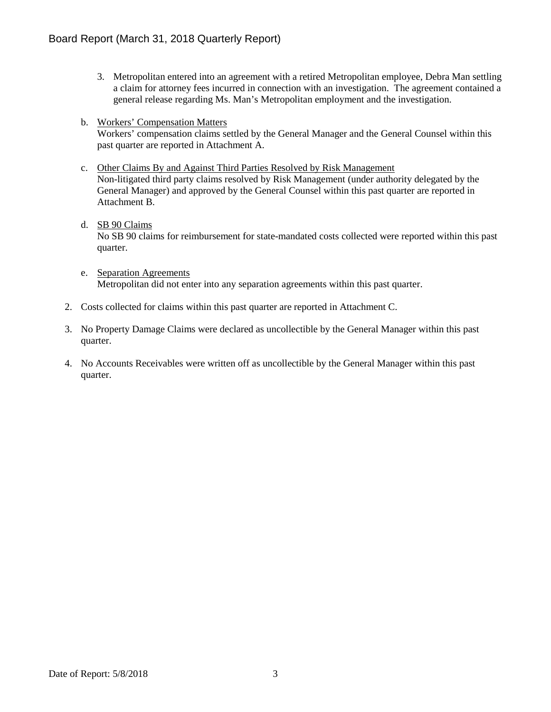- 3. Metropolitan entered into an agreement with a retired Metropolitan employee, Debra Man settling a claim for attorney fees incurred in connection with an investigation. The agreement contained a general release regarding Ms. Man's Metropolitan employment and the investigation.
- b. Workers' Compensation Matters Workers' compensation claims settled by the General Manager and the General Counsel within this past quarter are reported in Attachment A.
- c. Other Claims By and Against Third Parties Resolved by Risk Management Non-litigated third party claims resolved by Risk Management (under authority delegated by the General Manager) and approved by the General Counsel within this past quarter are reported in Attachment B.
- d. SB 90 Claims No SB 90 claims for reimbursement for state-mandated costs collected were reported within this past quarter.
- e. Separation Agreements Metropolitan did not enter into any separation agreements within this past quarter.
- 2. Costs collected for claims within this past quarter are reported in Attachment C.
- 3. No Property Damage Claims were declared as uncollectible by the General Manager within this past quarter.
- 4. No Accounts Receivables were written off as uncollectible by the General Manager within this past quarter.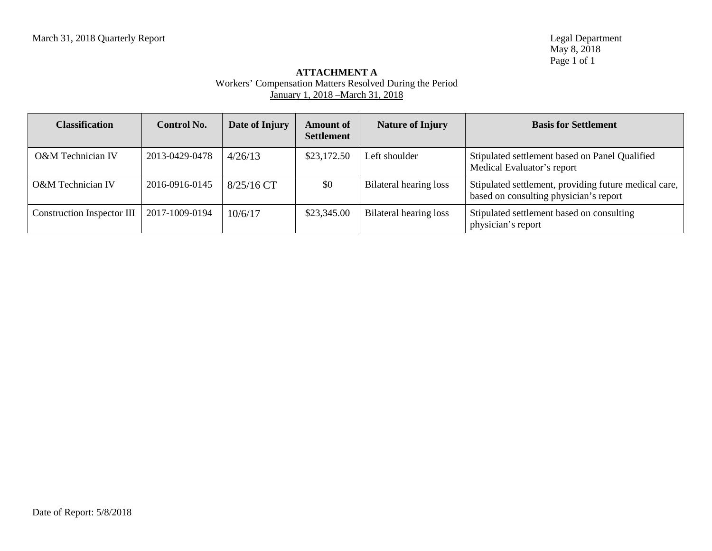# **ATTACHMENT A** Workers' Compensation Matters Resolved During the Period January 1, 2018 –March 31, 2018

| <b>Classification</b>      | <b>Control No.</b> | Date of Injury | <b>Amount of</b><br><b>Settlement</b> | <b>Nature of Injury</b> | <b>Basis for Settlement</b>                                                                     |
|----------------------------|--------------------|----------------|---------------------------------------|-------------------------|-------------------------------------------------------------------------------------------------|
| O&M Technician IV          | 2013-0429-0478     | 4/26/13        | \$23,172.50                           | Left shoulder           | Stipulated settlement based on Panel Qualified<br>Medical Evaluator's report                    |
| O&M Technician IV          | 2016-0916-0145     | $8/25/16$ CT   | \$0                                   | Bilateral hearing loss  | Stipulated settlement, providing future medical care,<br>based on consulting physician's report |
| Construction Inspector III | 2017-1009-0194     | 10/6/17        | \$23,345.00                           | Bilateral hearing loss  | Stipulated settlement based on consulting<br>physician's report                                 |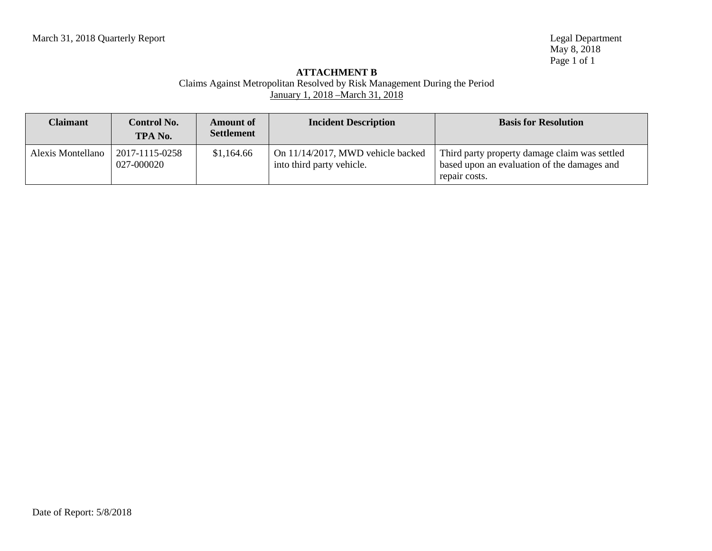### **ATTACHMENT B** Claims Against Metropolitan Resolved by Risk Management During the Period January 1, 2018 –March 31, 2018

| <b>Claimant</b>   | <b>Control No.</b><br>TPA No. | <b>Amount of</b><br><b>Settlement</b> | <b>Incident Description</b>                                    | <b>Basis for Resolution</b>                                                                                   |
|-------------------|-------------------------------|---------------------------------------|----------------------------------------------------------------|---------------------------------------------------------------------------------------------------------------|
| Alexis Montellano | 2017-1115-0258<br>027-000020  | \$1,164.66                            | On 11/14/2017, MWD vehicle backed<br>into third party vehicle. | Third party property damage claim was settled<br>based upon an evaluation of the damages and<br>repair costs. |